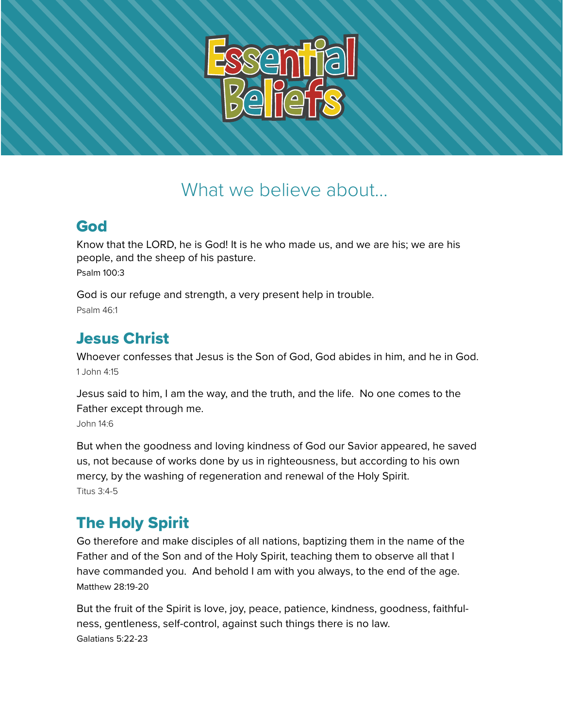

# What we believe about...

#### God

Know that the LORD, he is God! It is he who made us, and we are his; we are his people, and the sheep of his pasture. Psalm 100:3

God is our refuge and strength, a very present help in trouble. Psalm 46:1

## Jesus Christ

Whoever confesses that Jesus is the Son of God, God abides in him, and he in God. 1 John 4:15

Jesus said to him, I am the way, and the truth, and the life. No one comes to the Father except through me. John 14:6

But when the goodness and loving kindness of God our Savior appeared, he saved us, not because of works done by us in righteousness, but according to his own mercy, by the washing of regeneration and renewal of the Holy Spirit. Titus 3:4-5

## The Holy Spirit

Go therefore and make disciples of all nations, baptizing them in the name of the Father and of the Son and of the Holy Spirit, teaching them to observe all that I have commanded you. And behold I am with you always, to the end of the age. Matthew 28:19-20

But the fruit of the Spirit is love, joy, peace, patience, kindness, goodness, faithfulness, gentleness, self-control, against such things there is no law. Galatians 5:22-23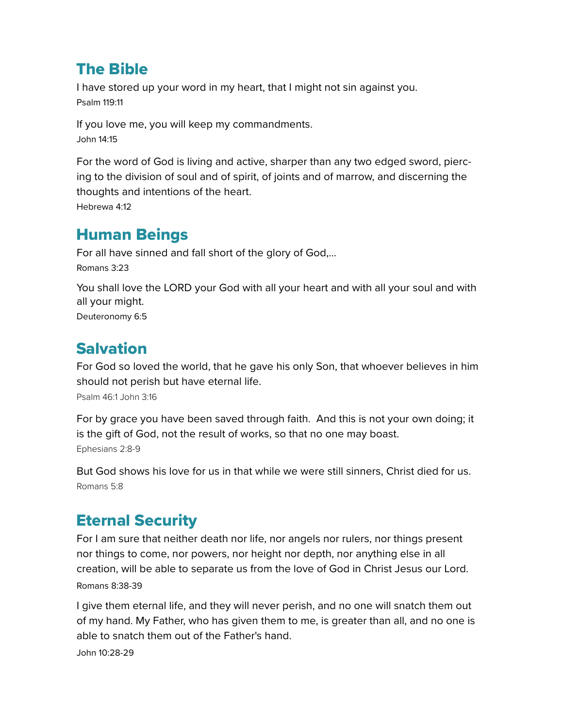### The Bible

I have stored up your word in my heart, that I might not sin against you. Psalm 119:11

If you love me, you will keep my commandments. John 14:15

For the word of God is living and active, sharper than any two edged sword, piercing to the division of soul and of spirit, of joints and of marrow, and discerning the thoughts and intentions of the heart.

Hebrewa 4:12

#### Human Beings

For all have sinned and fall short of the glory of God,... Romans 3:23

You shall love the LORD your God with all your heart and with all your soul and with all your might. Deuteronomy 6:5

#### Salvation

For God so loved the world, that he gave his only Son, that whoever believes in him should not perish but have eternal life. Psalm 46:1 John 3:16

For by grace you have been saved through faith. And this is not your own doing; it is the gift of God, not the result of works, so that no one may boast. Ephesians 2:8-9

But God shows his love for us in that while we were still sinners, Christ died for us. Romans 5:8

### Eternal Security

For I am sure that neither death nor life, nor angels nor rulers, nor things present nor things to come, nor powers, nor height nor depth, nor anything else in all creation, will be able to separate us from the love of God in Christ Jesus our Lord. Romans 8:38-39

I give them eternal life, and they will never perish, and no one will snatch them out of my hand. My Father, who has given them to me, is greater than all, and no one is able to snatch them out of the Father's hand.

John 10:28-29